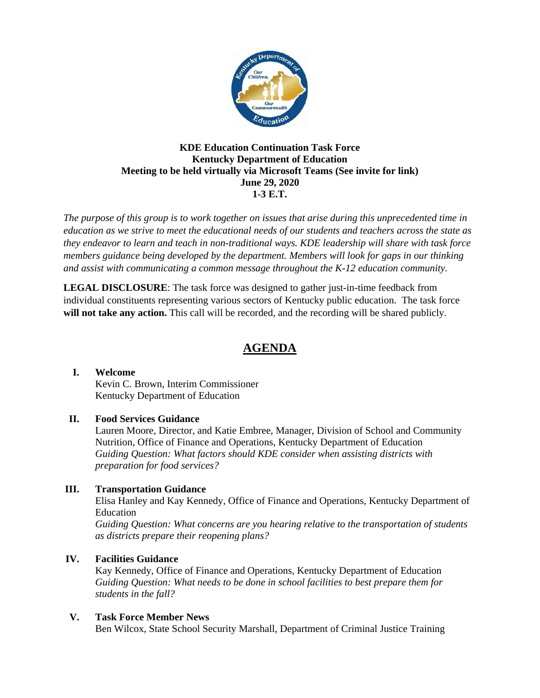

#### **KDE Education Continuation Task Force Kentucky Department of Education Meeting to be held virtually via Microsoft Teams (See invite for link) June 29, 2020 1-3 E.T.**

*The purpose of this group is to work together on issues that arise during this unprecedented time in education as we strive to meet the educational needs of our students and teachers across the state as they endeavor to learn and teach in non-traditional ways. KDE leadership will share with task force members guidance being developed by the department. Members will look for gaps in our thinking and assist with communicating a common message throughout the K-12 education community.*

**LEGAL DISCLOSURE**: The task force was designed to gather just-in-time feedback from individual constituents representing various sectors of Kentucky public education. The task force **will not take any action.** This call will be recorded, and the recording will be shared publicly.

# **AGENDA**

#### **I. Welcome**

Kevin C. Brown, Interim Commissioner Kentucky Department of Education

#### **II. Food Services Guidance**

Lauren Moore, Director, and Katie Embree, Manager, Division of School and Community Nutrition, Office of Finance and Operations, Kentucky Department of Education *Guiding Question: What factors should KDE consider when assisting districts with preparation for food services?*

#### **III. Transportation Guidance**

Elisa Hanley and Kay Kennedy, Office of Finance and Operations, Kentucky Department of Education

*Guiding Question: What concerns are you hearing relative to the transportation of students as districts prepare their reopening plans?*

## **IV. Facilities Guidance**

Kay Kennedy, Office of Finance and Operations, Kentucky Department of Education *Guiding Question: What needs to be done in school facilities to best prepare them for students in the fall?*

#### **V. Task Force Member News**

Ben Wilcox, State School Security Marshall, Department of Criminal Justice Training